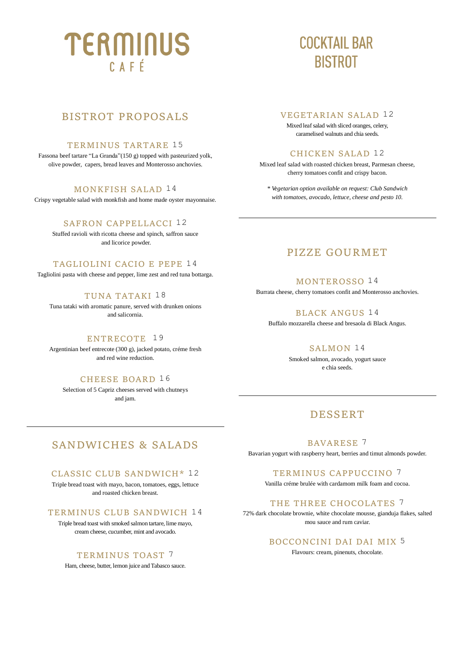# TERMINUS  $C$   $A$   $F$   $F$

## **COCKTAIL BAR BISTROT**

## BISTROT PROPOSALS

#### TERMINUS TARTARE 15

Fassona beef tartare "La Granda"(150 g) topped with pasteurized yolk, olive powder, capers, bread leaves and Monterosso anchovies.

#### MONKFISH SALAD 14

Crispy vegetable salad with monkfish and home made oyster mayonnaise.

#### SAFRON CAPPELLACCI 12

Stuffed ravioli with ricotta cheese and spinch, saffron sauce and licorice powder.

#### TAGLIOLINI CACIO E PEPE 14

Tagliolini pasta with cheese and pepper, lime zest and red tuna bottarga.

#### TUNA TATAKI 18

Tuna tataki with aromatic panure, served with drunken onions and salicornia.

#### ENTRECOTE 19

Argentinian beef entrecote (300 g), jacked potato, créme fresh and red wine reduction.

#### CHEESE BOARD 16

Selection of 5 Capriz cheeses served with chutneys and jam.

#### VEGETARIAN SALAD 12

Mixed leaf salad with sliced oranges, celery, caramelised walnuts and chia seeds.

#### CHICKEN SALAD 12

Mixed leaf salad with roasted chicken breast, Parmesan cheese, cherry tomatoes confit and crispy bacon.

*\* Vegetarian option available on request: Club Sandwich with tomatoes, avocado, lettuce, cheese and pesto 10.*

## PIZZE GOURMET

#### MONTEROSSO 14

Burrata cheese, cherry tomatoes confit and Monterosso anchovies.

#### BLACK ANGUS 14

Buffalo mozzarella cheese and bresaola di Black Angus.

#### SALMON 14

Smoked salmon, avocado, yogurt sauce e chia seeds.

## DESSERT

BAVARESE 7

#### Bavarian yogurt with raspberry heart, berries and timut almonds powder.

#### TERMINUS CAPPUCCINO 7

Vanilla créme brulée with cardamom milk foam and cocoa.

#### THE THREE CHOCOLATES 7

72% dark chocolate brownie, white chocolate mousse, gianduja flakes, salted mou sauce and rum caviar.

#### BOCCONCINI DAI DAI MIX 5

Flavours: cream, pinenuts, chocolate.

## SANDWICHES & SALADS

#### CLASSIC CLUB SANDWICH\* 12

Triple bread toast with mayo, bacon, tomatoes, eggs, lettuce and roasted chicken breast.

#### TERMINUS CLUB SANDWICH 14

Triple bread toast with smoked salmon tartare, lime mayo, cream cheese, cucumber, mint and avocado.

#### TERMINUS TOAST 7

Ham, cheese, butter, lemon juice and Tabasco sauce.